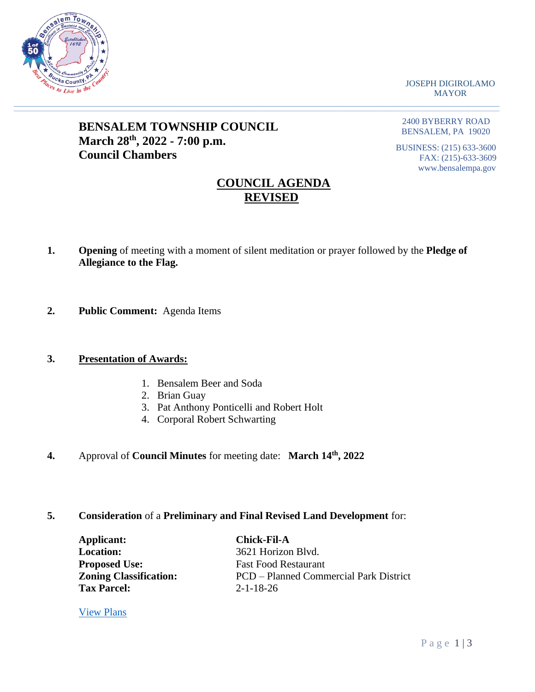

JOSEPH DIGIROLAMO MAYOR

# **BENSALEM TOWNSHIP COUNCIL March 28th, 2022 - 7:00 p.m. Council Chambers**

2400 BYBERRY ROAD BENSALEM, PA 19020

BUSINESS: (215) 633-3600 FAX: (215)-633-3609 www.bensalempa.gov

# **COUNCIL AGENDA REVISED**

**1. Opening** of meeting with a moment of silent meditation or prayer followed by the **Pledge of Allegiance to the Flag.**

 $\Box \Box \Box \Box \Box \Box \Box \Box \Box \Box$  . The set of the set of the set of the set of the set of the set of the set of the set of the set of the set of the set of the set of the set of the set of the set of the set of the set of the set o

**2. Public Comment:** Agenda Items

# **3. Presentation of Awards:**

- 1. Bensalem Beer and Soda
- 2. Brian Guay
- 3. Pat Anthony Ponticelli and Robert Holt
- 4. Corporal Robert Schwarting
- **4.** Approval of **Council Minutes** for meeting date: **March 14th, 2022**

# **5. Consideration** of a **Preliminary and Final Revised Land Development** for:

| Applicant:                    | <b>Chick-Fil-A</b>                     |
|-------------------------------|----------------------------------------|
| <b>Location:</b>              | 3621 Horizon Blvd.                     |
| <b>Proposed Use:</b>          | <b>Fast Food Restaurant</b>            |
| <b>Zoning Classification:</b> | PCD – Planned Commercial Park District |
| <b>Tax Parcel:</b>            | $2 - 1 - 18 - 26$                      |

[View Plans](https://www.bensalempa.gov/uploads/2/4/9/3/24936441/horizon_blvd_3621_-_prel-final_ld_revised.pdf)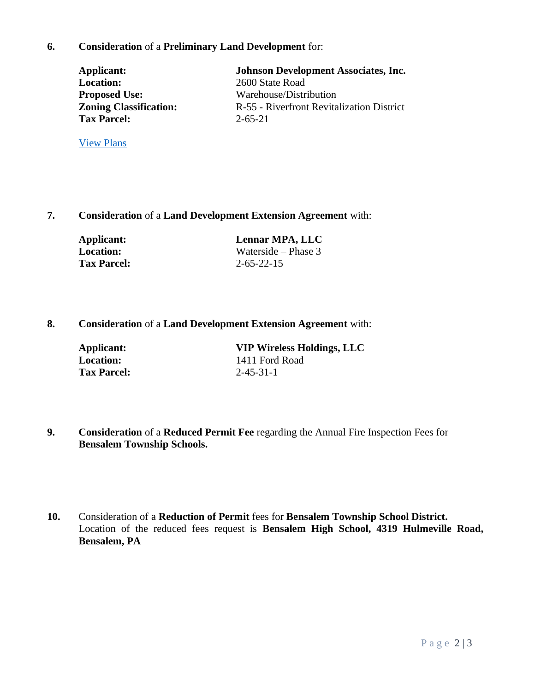## **6. Consideration** of a **Preliminary Land Development** for:

**Tax Parcel:** 2-65-21

[View Plans](https://www.bensalempa.gov/uploads/2/4/9/3/24936441/state_rd_2600_revised__4__-_johnson_development.pdf)

Applicant: **Johnson Development Associates, Inc.**<br>
Location: 2600 State Road 2600 State Road **Proposed Use:** Warehouse/Distribution **Zoning Classification:** R-55 - Riverfront Revitalization District

**7. Consideration** of a **Land Development Extension Agreement** with:

| Applicant:         | Lennar MPA, LLC     |
|--------------------|---------------------|
| Location:          | Waterside – Phase 3 |
| <b>Tax Parcel:</b> | $2 - 65 - 22 - 15$  |

# **8. Consideration** of a **Land Development Extension Agreement** with:

| Applicant:         | <b>VIP Wireless Holdings, LLC</b> |
|--------------------|-----------------------------------|
| Location:          | 1411 Ford Road                    |
| <b>Tax Parcel:</b> | $2 - 45 - 31 - 1$                 |

- **9. Consideration** of a **Reduced Permit Fee** regarding the Annual Fire Inspection Fees for **Bensalem Township Schools.**
- **10.** Consideration of a **Reduction of Permit** fees for **Bensalem Township School District.** Location of the reduced fees request is **Bensalem High School, 4319 Hulmeville Road, Bensalem, PA**